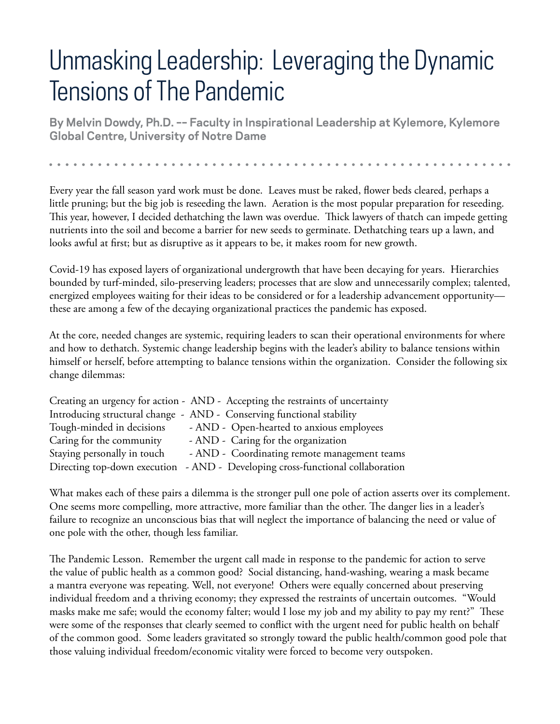## Unmasking Leadership: Leveraging the Dynamic Tensions of The Pandemic

**By Melvin Dowdy, Ph.D. –– Faculty in Inspirational Leadership at Kylemore, Kylemore Global Centre, University of Notre Dame**

Every year the fall season yard work must be done. Leaves must be raked, flower beds cleared, perhaps a little pruning; but the big job is reseeding the lawn. Aeration is the most popular preparation for reseeding. This year, however, I decided dethatching the lawn was overdue. Thick lawyers of thatch can impede getting nutrients into the soil and become a barrier for new seeds to germinate. Dethatching tears up a lawn, and looks awful at first; but as disruptive as it appears to be, it makes room for new growth.

Covid-19 has exposed layers of organizational undergrowth that have been decaying for years. Hierarchies bounded by turf-minded, silo-preserving leaders; processes that are slow and unnecessarily complex; talented, energized employees waiting for their ideas to be considered or for a leadership advancement opportunitythese are among a few of the decaying organizational practices the pandemic has exposed.

At the core, needed changes are systemic, requiring leaders to scan their operational environments for where and how to dethatch. Systemic change leadership begins with the leader's ability to balance tensions within himself or herself, before attempting to balance tensions within the organization. Consider the following six change dilemmas:

|                             | Creating an urgency for action - AND - Accepting the restraints of uncertainty |
|-----------------------------|--------------------------------------------------------------------------------|
|                             | Introducing structural change - AND - Conserving functional stability          |
| Tough-minded in decisions   | - AND - Open-hearted to anxious employees                                      |
| Caring for the community    | - AND - Caring for the organization                                            |
| Staying personally in touch | - AND - Coordinating remote management teams                                   |
|                             | Directing top-down execution - AND - Developing cross-functional collaboration |

What makes each of these pairs a dilemma is the stronger pull one pole of action asserts over its complement. One seems more compelling, more attractive, more familiar than the other. The danger lies in a leader's failure to recognize an unconscious bias that will neglect the importance of balancing the need or value of one pole with the other, though less familiar.

The Pandemic Lesson. Remember the urgent call made in response to the pandemic for action to serve the value of public health as a common good? Social distancing, hand-washing, wearing a mask became a mantra everyone was repeating. Well, not everyone! Others were equally concerned about preserving individual freedom and a thriving economy; they expressed the restraints of uncertain outcomes. "Would masks make me safe; would the economy falter; would I lose my job and my ability to pay my rent?" These were some of the responses that clearly seemed to conflict with the urgent need for public health on behalf of the common good. Some leaders gravitated so strongly toward the public health/common good pole that those valuing individual freedom/economic vitality were forced to become very outspoken.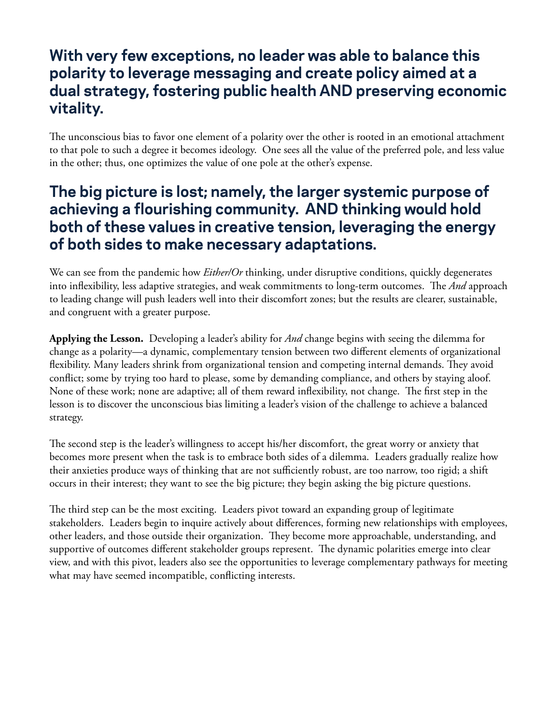## **With very few exceptions, no leader was able to balance this polarity to leverage messaging and create policy aimed at a dual strategy, fostering public health AND preserving economic vitality.**

The unconscious bias to favor one element of a polarity over the other is rooted in an emotional attachment to that pole to such a degree it becomes ideology. One sees all the value of the preferred pole, and less value in the other; thus, one optimizes the value of one pole at the other's expense.

## **The big picture is lost; namely, the larger systemic purpose of achieving a flourishing community. AND thinking would hold both of these values in creative tension, leveraging the energy of both sides to make necessary adaptations.**

We can see from the pandemic how *Either/Or* thinking, under disruptive conditions, quickly degenerates into inflexibility, less adaptive strategies, and weak commitments to long-term outcomes. The *And* approach to leading change will push leaders well into their discomfort zones; but the results are clearer, sustainable, and congruent with a greater purpose.

**Applying the Lesson.** Developing a leader's ability for *And* change begins with seeing the dilemma for change as a polarity––a dynamic, complementary tension between two different elements of organizational flexibility. Many leaders shrink from organizational tension and competing internal demands. They avoid conflict; some by trying too hard to please, some by demanding compliance, and others by staying aloof. None of these work; none are adaptive; all of them reward inflexibility, not change. The first step in the lesson is to discover the unconscious bias limiting a leader's vision of the challenge to achieve a balanced strategy.

The second step is the leader's willingness to accept his/her discomfort, the great worry or anxiety that becomes more present when the task is to embrace both sides of a dilemma. Leaders gradually realize how their anxieties produce ways of thinking that are not sufficiently robust, are too narrow, too rigid; a shift occurs in their interest; they want to see the big picture; they begin asking the big picture questions.

The third step can be the most exciting. Leaders pivot toward an expanding group of legitimate stakeholders. Leaders begin to inquire actively about differences, forming new relationships with employees, other leaders, and those outside their organization. They become more approachable, understanding, and supportive of outcomes different stakeholder groups represent. The dynamic polarities emerge into clear view, and with this pivot, leaders also see the opportunities to leverage complementary pathways for meeting what may have seemed incompatible, conflicting interests.